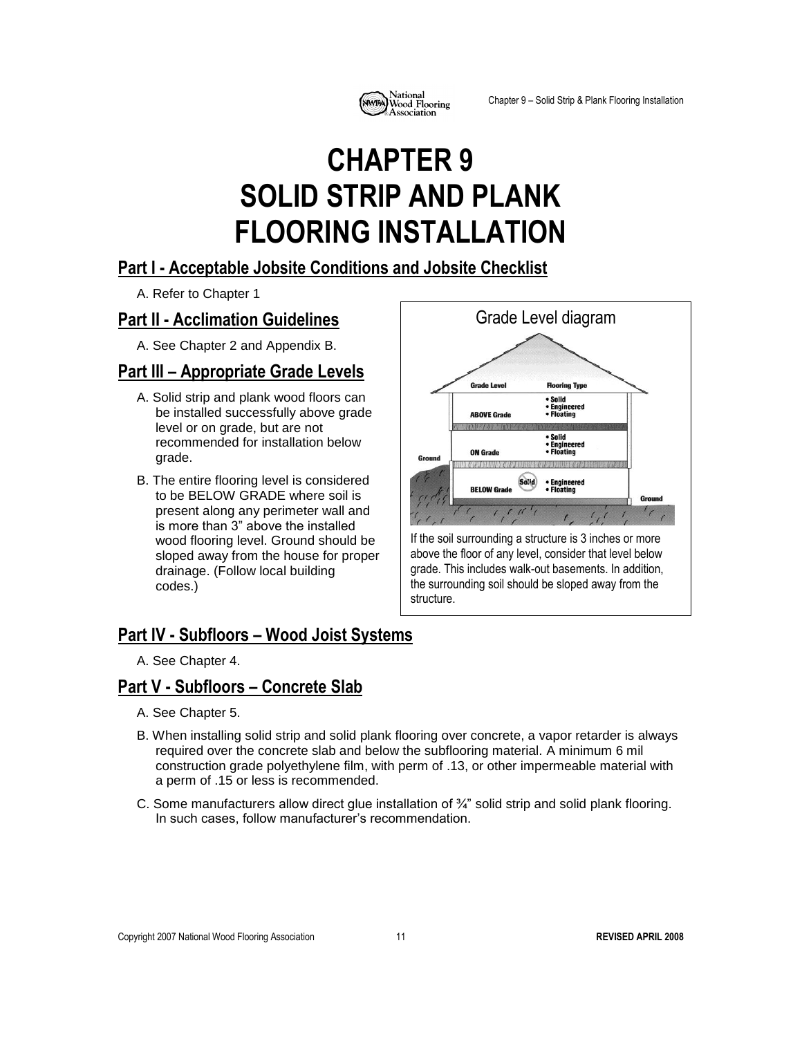

# **CHAPTER 9 SOLID STRIP AND PLANK FLOORING INSTALLATION**

#### **Part I - Acceptable Jobsite Conditions and Jobsite Checklist**

A. Refer to Chapter 1

### **Part II - Acclimation Guidelines**

A. See Chapter 2 and Appendix B.

### **Part III – Appropriate Grade Levels**

- A. Solid strip and plank wood floors can be installed successfully above grade level or on grade, but are not recommended for installation below grade.
- B. The entire flooring level is considered to be BELOW GRADE where soil is present along any perimeter wall and is more than 3" above the installed wood flooring level. Ground should be sloped away from the house for proper drainage. (Follow local building codes.)



## **Part IV - Subfloors – Wood Joist Systems**

A. See Chapter 4.

#### **Part V - Subfloors – Concrete Slab**

- A. See Chapter 5.
- B. When installing solid strip and solid plank flooring over concrete, a vapor retarder is always required over the concrete slab and below the subflooring material. A minimum 6 mil construction grade polyethylene film, with perm of .13, or other impermeable material with a perm of .15 or less is recommended.
- C. Some manufacturers allow direct glue installation of ¾" solid strip and solid plank flooring. In such cases, follow manufacturer's recommendation.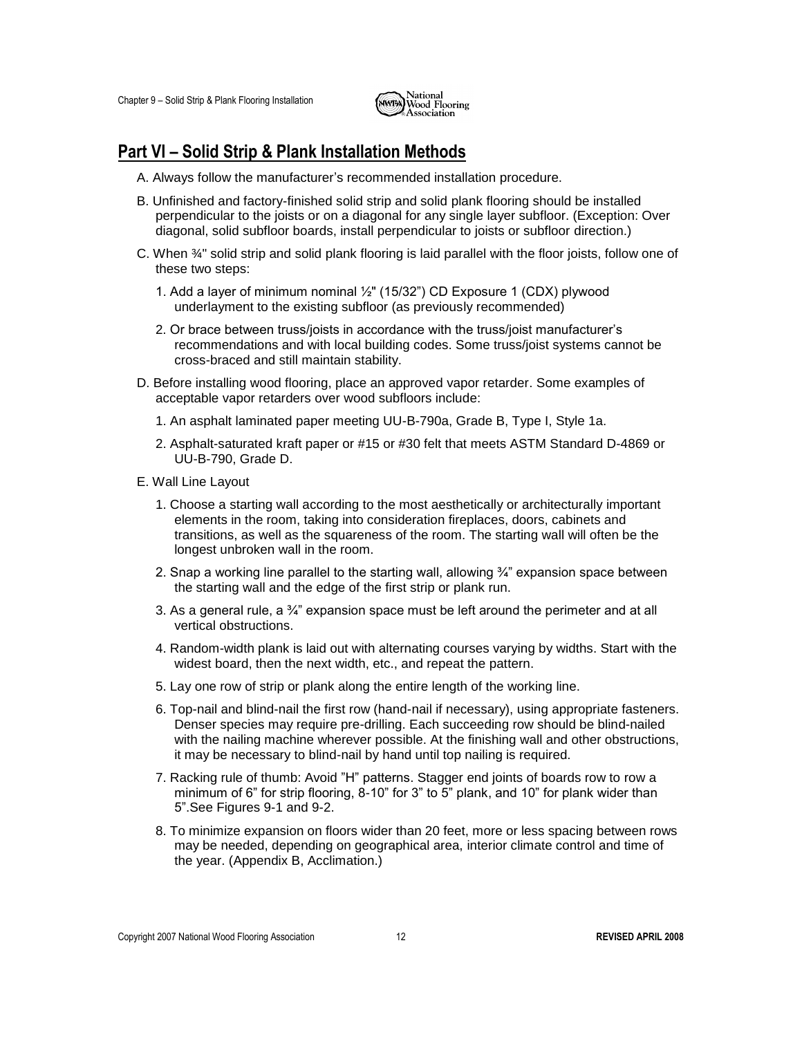

#### **Part VI – Solid Strip & Plank Installation Methods**

- A. Always follow the manufacturer's recommended installation procedure.
- B. Unfinished and factory-finished solid strip and solid plank flooring should be installed perpendicular to the joists or on a diagonal for any single layer subfloor. (Exception: Over diagonal, solid subfloor boards, install perpendicular to joists or subfloor direction.)
- C. When ¾" solid strip and solid plank flooring is laid parallel with the floor joists, follow one of these two steps:
	- 1. Add a layer of minimum nominal ½" (15/32") CD Exposure 1 (CDX) plywood underlayment to the existing subfloor (as previously recommended)
	- 2. Or brace between truss/joists in accordance with the truss/joist manufacturer's recommendations and with local building codes. Some truss/joist systems cannot be cross-braced and still maintain stability.
- D. Before installing wood flooring, place an approved vapor retarder. Some examples of acceptable vapor retarders over wood subfloors include:
	- 1. An asphalt laminated paper meeting UU-B-790a, Grade B, Type I, Style 1a.
	- 2. Asphalt-saturated kraft paper or #15 or #30 felt that meets ASTM Standard D-4869 or UU-B-790, Grade D.
- E. Wall Line Layout
	- 1. Choose a starting wall according to the most aesthetically or architecturally important elements in the room, taking into consideration fireplaces, doors, cabinets and transitions, as well as the squareness of the room. The starting wall will often be the longest unbroken wall in the room.
	- 2. Snap a working line parallel to the starting wall, allowing  $\frac{3}{4}$ " expansion space between the starting wall and the edge of the first strip or plank run.
	- 3. As a general rule, a  $\frac{3}{4}$  expansion space must be left around the perimeter and at all vertical obstructions.
	- 4. Random-width plank is laid out with alternating courses varying by widths. Start with the widest board, then the next width, etc., and repeat the pattern.
	- 5. Lay one row of strip or plank along the entire length of the working line.
	- 6. Top-nail and blind-nail the first row (hand-nail if necessary), using appropriate fasteners. Denser species may require pre-drilling. Each succeeding row should be blind-nailed with the nailing machine wherever possible. At the finishing wall and other obstructions, it may be necessary to blind-nail by hand until top nailing is required.
	- 7. Racking rule of thumb: Avoid "H" patterns. Stagger end joints of boards row to row a minimum of 6" for strip flooring, 8-10" for 3" to 5" plank, and 10" for plank wider than 5".See Figures 9-1 and 9-2.
	- 8. To minimize expansion on floors wider than 20 feet, more or less spacing between rows may be needed, depending on geographical area, interior climate control and time of the year. (Appendix B, Acclimation.)